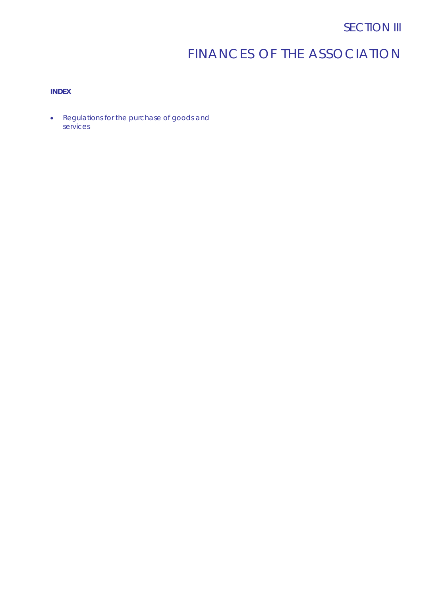# FINANCES OF THE ASSOCIATION

# **INDEX**

• Regulations for the purchase of goods and services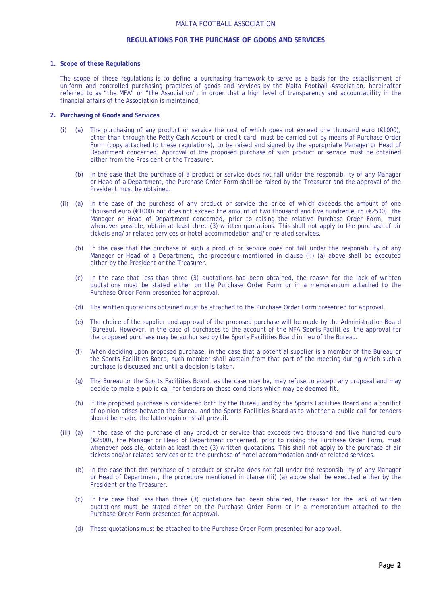#### MALTA FOOTBALL ASSOCIATION

# **REGULATIONS FOR THE PURCHASE OF GOODS AND SERVICES**

#### **1. Scope of these Regulations**

The scope of these regulations is to define a purchasing framework to serve as a basis for the establishment of uniform and controlled purchasing practices of goods and services by the Malta Football Association, hereinafter referred to as "the MFA" or "the Association", in order that a high level of transparency and accountability in the financial affairs of the Association is maintained.

### **2. Purchasing of Goods and Services**

- (i) (a) The purchasing of any product or service the cost of which does not exceed one thousand euro (€1000), other than through the Petty Cash Account or credit card, must be carried out by means of Purchase Order Form (copy attached to these regulations), to be raised and signed by the appropriate Manager or Head of Department concerned. Approval of the proposed purchase of such product or service must be obtained either from the President or the Treasurer.
	- (b) In the case that the purchase of a product or service does not fall under the responsibility of any Manager or Head of a Department, the Purchase Order Form shall be raised by the Treasurer and the approval of the President must be obtained.
- (ii) (a) In the case of the purchase of any product or service the price of which exceeds the amount of one thousand euro (€1000) but does not exceed the amount of two thousand and five hundred euro (€2500), the Manager or Head of Department concerned, prior to raising the relative Purchase Order Form, must whenever possible, obtain at least three (3) written quotations. This shall not apply to the purchase of air tickets and/or related services or hotel accommodation and/or related services.
	- (b) In the case that the purchase of such a product or service does not fall under the responsibility of any Manager or Head of a Department, the procedure mentioned in clause (ii) (a) above shall be executed either by the President or the Treasurer.
	- (c) In the case that less than three (3) quotations had been obtained, the reason for the lack of written quotations must be stated either on the Purchase Order Form or in a memorandum attached to the Purchase Order Form presented for approval.
	- (d) The written quotations obtained must be attached to the Purchase Order Form presented for approval.
	- (e) The choice of the supplier and approval of the proposed purchase will be made by the Administration Board (Bureau). However, in the case of purchases to the account of the MFA Sports Facilities, the approval for the proposed purchase may be authorised by the Sports Facilities Board in lieu of the Bureau.
	- (f) When deciding upon proposed purchase, in the case that a potential supplier is a member of the Bureau or the Sports Facilities Board, such member shall abstain from that part of the meeting during which such a purchase is discussed and until a decision is taken.
	- (g) The Bureau or the Sports Facilities Board, as the case may be, may refuse to accept any proposal and may decide to make a public call for tenders on those conditions which may be deemed fit.
	- (h) If the proposed purchase is considered both by the Bureau and by the Sports Facilities Board and a conflict of opinion arises between the Bureau and the Sports Facilities Board as to whether a public call for tenders should be made, the latter opinion shall prevail.
- (iii) (a) In the case of the purchase of any product or service that exceeds two thousand and five hundred euro (€2500), the Manager or Head of Department concerned, prior to raising the Purchase Order Form, must whenever possible, obtain at least three (3) written quotations. This shall not apply to the purchase of air tickets and/or related services or to the purchase of hotel accommodation and/or related services.
	- (b) In the case that the purchase of a product or service does not fall under the responsibility of any Manager or Head of Department, the procedure mentioned in clause (iii) (a) above shall be executed either by the President or the Treasurer.
	- (c) In the case that less than three (3) quotations had been obtained, the reason for the lack of written quotations must be stated either on the Purchase Order Form or in a memorandum attached to the Purchase Order Form presented for approval.
	- (d) These quotations must be attached to the Purchase Order Form presented for approval.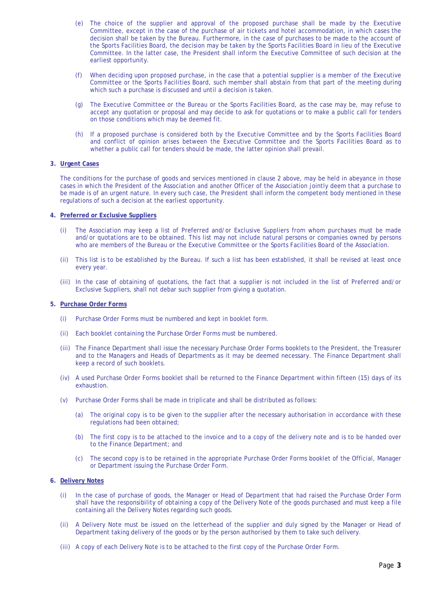- (e) The choice of the supplier and approval of the proposed purchase shall be made by the Executive Committee, except in the case of the purchase of air tickets and hotel accommodation, in which cases the decision shall be taken by the Bureau. Furthermore, in the case of purchases to be made to the account of the Sports Facilities Board, the decision may be taken by the Sports Facilities Board in lieu of the Executive Committee. In the latter case, the President shall inform the Executive Committee of such decision at the earliest opportunity.
- (f) When deciding upon proposed purchase, in the case that a potential supplier is a member of the Executive Committee or the Sports Facilities Board, such member shall abstain from that part of the meeting during which such a purchase is discussed and until a decision is taken.
- (g) The Executive Committee or the Bureau or the Sports Facilities Board, as the case may be, may refuse to accept any quotation or proposal and may decide to ask for quotations or to make a public call for tenders on those conditions which may be deemed fit.
- (h) If a proposed purchase is considered both by the Executive Committee and by the Sports Facilities Board and conflict of opinion arises between the Executive Committee and the Sports Facilities Board as to whether a public call for tenders should be made, the latter opinion shall prevail.

#### **3. Urgent Cases**

The conditions for the purchase of goods and services mentioned in clause 2 above, may be held in abeyance in those cases in which the President of the Association and another Officer of the Association jointly deem that a purchase to be made is of an urgent nature. In every such case, the President shall inform the competent body mentioned in these regulations of such a decision at the earliest opportunity.

#### **4. Preferred or Exclusive Suppliers**

- (i) The Association may keep a list of Preferred and/or Exclusive Suppliers from whom purchases must be made and/or quotations are to be obtained. This list may not include natural persons or companies owned by persons who are members of the Bureau or the Executive Committee or the Sports Facilities Board of the Association.
- (ii) This list is to be established by the Bureau. If such a list has been established, it shall be revised at least once every year.
- (iii) In the case of obtaining of quotations, the fact that a supplier is not included in the list of Preferred and/or Exclusive Suppliers, shall not debar such supplier from giving a quotation.

#### **5. Purchase Order Forms**

- (i) Purchase Order Forms must be numbered and kept in booklet form.
- (ii) Each booklet containing the Purchase Order Forms must be numbered.
- (iii) The Finance Department shall issue the necessary Purchase Order Forms booklets to the President, the Treasurer and to the Managers and Heads of Departments as it may be deemed necessary. The Finance Department shall keep a record of such booklets.
- (iv) A used Purchase Order Forms booklet shall be returned to the Finance Department within fifteen (15) days of its exhaustion.
- (v) Purchase Order Forms shall be made in triplicate and shall be distributed as follows:
	- (a) The original copy is to be given to the supplier after the necessary authorisation in accordance with these regulations had been obtained;
	- (b) The first copy is to be attached to the invoice and to a copy of the delivery note and is to be handed over to the Finance Department; and
	- (c) The second copy is to be retained in the appropriate Purchase Order Forms booklet of the Official, Manager or Department issuing the Purchase Order Form.

#### **6. Delivery Notes**

- (i) In the case of purchase of goods, the Manager or Head of Department that had raised the Purchase Order Form shall have the responsibility of obtaining a copy of the Delivery Note of the goods purchased and must keep a file containing all the Delivery Notes regarding such goods.
- (ii) A Delivery Note must be issued on the letterhead of the supplier and duly signed by the Manager or Head of Department taking delivery of the goods or by the person authorised by them to take such delivery.
- (iii) A copy of each Delivery Note is to be attached to the first copy of the Purchase Order Form.